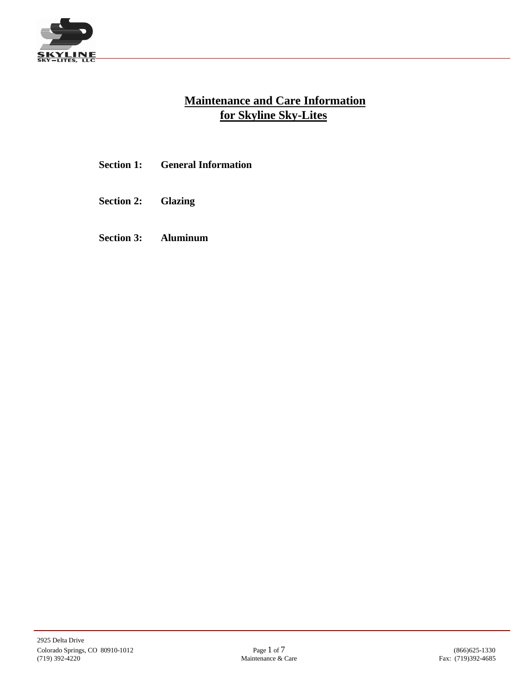

# **Maintenance and Care Information for Skyline Sky-Lites**

- **Section 1: General Information**
- **Section 2: Glazing**
- **Section 3: Aluminum**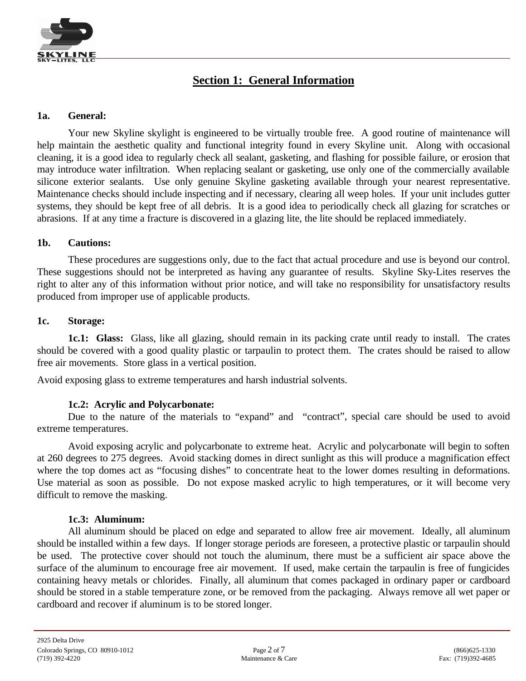

## **Section 1: General Information**

### **1a. General:**

Your new Skyline skylight is engineered to be virtually trouble free. A good routine of maintenance will help maintain the aesthetic quality and functional integrity found in every Skyline unit. Along with occasional cleaning, it is a good idea to regularly check all sealant, gasketing, and flashing for possible failure, or erosion that may introduce water infiltration. When replacing sealant or gasketing, use only one of the commercially available silicone exterior sealants. Use only genuine Skyline gasketing available through your nearest representative. Maintenance checks should include inspecting and if necessary, clearing all weep holes. If your unit includes gutter systems, they should be kept free of all debris. It is a good idea to periodically check all glazing for scratches or abrasions. If at any time a fracture is discovered in a glazing lite, the lite should be replaced immediately.

### **1b. Cautions:**

These procedures are suggestions only, due to the fact that actual procedure and use is beyond our control. These suggestions should not be interpreted as having any guarantee of results. Skyline Sky-Lites reserves the right to alter any of this information without prior notice, and will take no responsibility for unsatisfactory results produced from improper use of applicable products.

### **1c. Storage:**

**1c.1: Glass:** Glass, like all glazing, should remain in its packing crate until ready to install. The crates should be covered with a good quality plastic or tarpaulin to protect them. The crates should be raised to allow free air movements. Store glass in a vertical position.

Avoid exposing glass to extreme temperatures and harsh industrial solvents.

### **1c.2: Acrylic and Polycarbonate:**

Due to the nature of the materials to "expand" and "contract", special care should be used to avoid extreme temperatures.

Avoid exposing acrylic and polycarbonate to extreme heat. Acrylic and polycarbonate will begin to soften at 260 degrees to 275 degrees. Avoid stacking domes in direct sunlight as this will produce a magnification effect where the top domes act as "focusing dishes" to concentrate heat to the lower domes resulting in deformations. Use material as soon as possible. Do not expose masked acrylic to high temperatures, or it will become very difficult to remove the masking.

#### **1c.3: Aluminum:**

All aluminum should be placed on edge and separated to allow free air movement. Ideally, all aluminum should be installed within a few days. If longer storage periods are foreseen, a protective plastic or tarpaulin should be used. The protective cover should not touch the aluminum, there must be a sufficient air space above the surface of the aluminum to encourage free air movement. If used, make certain the tarpaulin is free of fungicides containing heavy metals or chlorides. Finally, all aluminum that comes packaged in ordinary paper or cardboard should be stored in a stable temperature zone, or be removed from the packaging. Always remove all wet paper or cardboard and recover if aluminum is to be stored longer.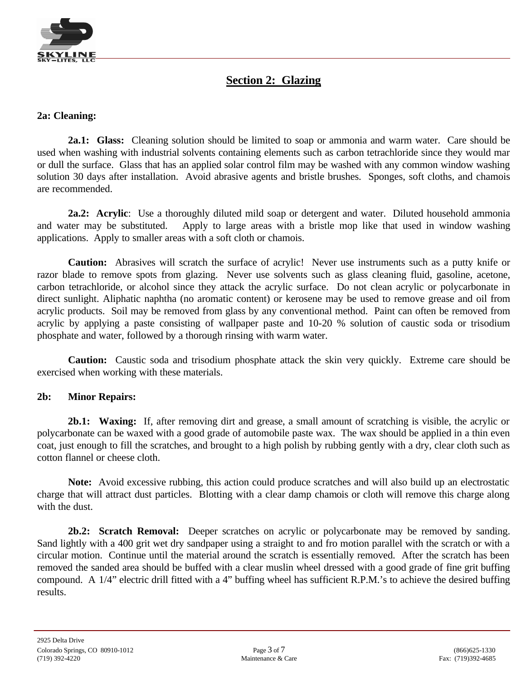

## **Section 2: Glazing**

### **2a: Cleaning:**

**2a.1: Glass:** Cleaning solution should be limited to soap or ammonia and warm water. Care should be used when washing with industrial solvents containing elements such as carbon tetrachloride since they would mar or dull the surface. Glass that has an applied solar control film may be washed with any common window washing solution 30 days after installation. Avoid abrasive agents and bristle brushes. Sponges, soft cloths, and chamois are recommended.

**2a.2: Acrylic**: Use a thoroughly diluted mild soap or detergent and water. Diluted household ammonia and water may be substituted. Apply to large areas with a bristle mop like that used in window washing applications. Apply to smaller areas with a soft cloth or chamois.

**Caution:** Abrasives will scratch the surface of acrylic! Never use instruments such as a putty knife or razor blade to remove spots from glazing. Never use solvents such as glass cleaning fluid, gasoline, acetone, carbon tetrachloride, or alcohol since they attack the acrylic surface. Do not clean acrylic or polycarbonate in direct sunlight. Aliphatic naphtha (no aromatic content) or kerosene may be used to remove grease and oil from acrylic products. Soil may be removed from glass by any conventional method. Paint can often be removed from acrylic by applying a paste consisting of wallpaper paste and 10-20 % solution of caustic soda or trisodium phosphate and water, followed by a thorough rinsing with warm water.

**Caution:** Caustic soda and trisodium phosphate attack the skin very quickly. Extreme care should be exercised when working with these materials.

#### **2b: Minor Repairs:**

**2b.1: Waxing:** If, after removing dirt and grease, a small amount of scratching is visible, the acrylic or polycarbonate can be waxed with a good grade of automobile paste wax. The wax should be applied in a thin even coat, just enough to fill the scratches, and brought to a high polish by rubbing gently with a dry, clear cloth such as cotton flannel or cheese cloth.

**Note:** Avoid excessive rubbing, this action could produce scratches and will also build up an electrostatic charge that will attract dust particles. Blotting with a clear damp chamois or cloth will remove this charge along with the dust.

**2b.2: Scratch Removal:** Deeper scratches on acrylic or polycarbonate may be removed by sanding. Sand lightly with a 400 grit wet dry sandpaper using a straight to and fro motion parallel with the scratch or with a circular motion. Continue until the material around the scratch is essentially removed. After the scratch has been removed the sanded area should be buffed with a clear muslin wheel dressed with a good grade of fine grit buffing compound. A 1/4" electric drill fitted with a 4" buffing wheel has sufficient R.P.M.'s to achieve the desired buffing results.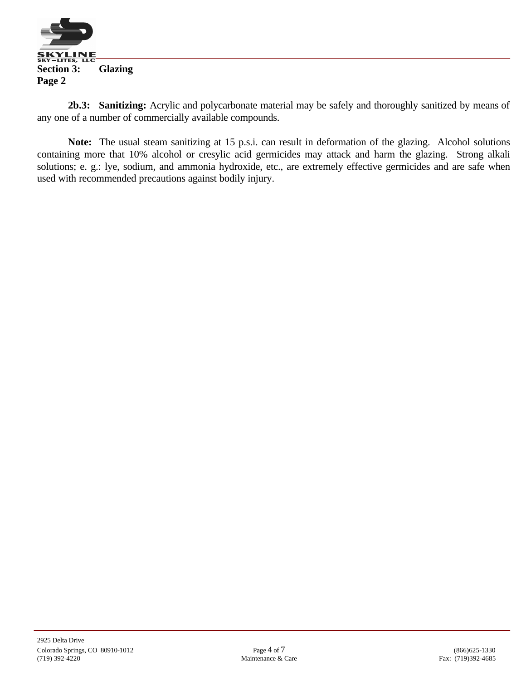

**2b.3: Sanitizing:** Acrylic and polycarbonate material may be safely and thoroughly sanitized by means of any one of a number of commercially available compounds.

**Note:** The usual steam sanitizing at 15 p.s.i. can result in deformation of the glazing. Alcohol solutions containing more that 10% alcohol or cresylic acid germicides may attack and harm the glazing. Strong alkali solutions; e. g.: lye, sodium, and ammonia hydroxide, etc., are extremely effective germicides and are safe when used with recommended precautions against bodily injury.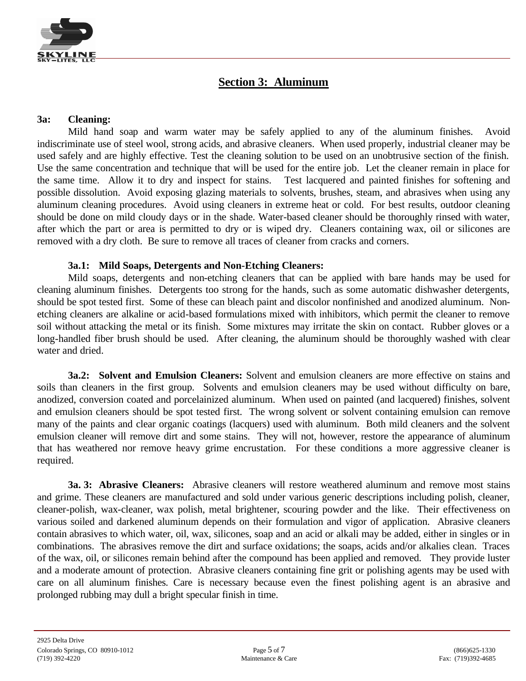

## **Section 3: Aluminum**

### **3a: Cleaning:**

Mild hand soap and warm water may be safely applied to any of the aluminum finishes. Avoid indiscriminate use of steel wool, strong acids, and abrasive cleaners. When used properly, industrial cleaner may be used safely and are highly effective. Test the cleaning solution to be used on an unobtrusive section of the finish. Use the same concentration and technique that will be used for the entire job. Let the cleaner remain in place for the same time. Allow it to dry and inspect for stains. Test lacquered and painted finishes for softening and possible dissolution. Avoid exposing glazing materials to solvents, brushes, steam, and abrasives when using any aluminum cleaning procedures. Avoid using cleaners in extreme heat or cold. For best results, outdoor cleaning should be done on mild cloudy days or in the shade. Water-based cleaner should be thoroughly rinsed with water, after which the part or area is permitted to dry or is wiped dry. Cleaners containing wax, oil or silicones are removed with a dry cloth. Be sure to remove all traces of cleaner from cracks and corners.

### **3a.1: Mild Soaps, Detergents and Non-Etching Cleaners:**

Mild soaps, detergents and non-etching cleaners that can be applied with bare hands may be used for cleaning aluminum finishes. Detergents too strong for the hands, such as some automatic dishwasher detergents, should be spot tested first. Some of these can bleach paint and discolor nonfinished and anodized aluminum. Nonetching cleaners are alkaline or acid-based formulations mixed with inhibitors, which permit the cleaner to remove soil without attacking the metal or its finish. Some mixtures may irritate the skin on contact. Rubber gloves or a long-handled fiber brush should be used. After cleaning, the aluminum should be thoroughly washed with clear water and dried.

**3a.2: Solvent and Emulsion Cleaners:** Solvent and emulsion cleaners are more effective on stains and soils than cleaners in the first group. Solvents and emulsion cleaners may be used without difficulty on bare, anodized, conversion coated and porcelainized aluminum. When used on painted (and lacquered) finishes, solvent and emulsion cleaners should be spot tested first. The wrong solvent or solvent containing emulsion can remove many of the paints and clear organic coatings (lacquers) used with aluminum. Both mild cleaners and the solvent emulsion cleaner will remove dirt and some stains. They will not, however, restore the appearance of aluminum that has weathered nor remove heavy grime encrustation. For these conditions a more aggressive cleaner is required.

**3a. 3: Abrasive Cleaners:** Abrasive cleaners will restore weathered aluminum and remove most stains and grime. These cleaners are manufactured and sold under various generic descriptions including polish, cleaner, cleaner-polish, wax-cleaner, wax polish, metal brightener, scouring powder and the like. Their effectiveness on various soiled and darkened aluminum depends on their formulation and vigor of application. Abrasive cleaners contain abrasives to which water, oil, wax, silicones, soap and an acid or alkali may be added, either in singles or in combinations. The abrasives remove the dirt and surface oxidations; the soaps, acids and/or alkalies clean. Traces of the wax, oil, or silicones remain behind after the compound has been applied and removed. They provide luster and a moderate amount of protection. Abrasive cleaners containing fine grit or polishing agents may be used with care on all aluminum finishes. Care is necessary because even the finest polishing agent is an abrasive and prolonged rubbing may dull a bright specular finish in time.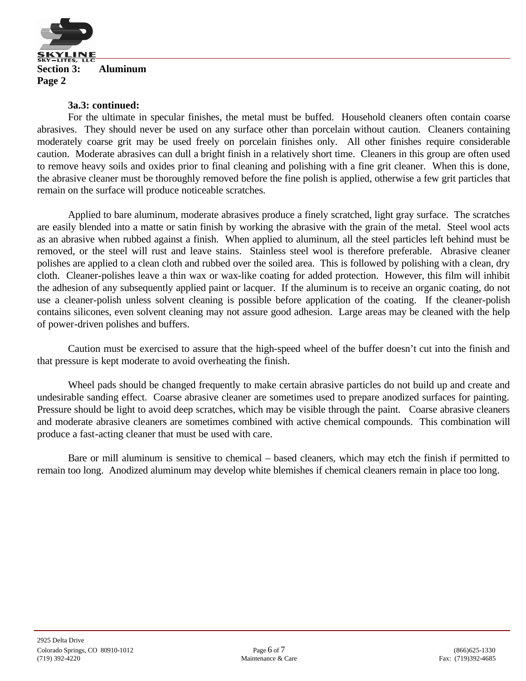

#### **3a.3: continued:**

For the ultimate in specular finishes, the metal must be buffed. Household cleaners often contain coarse abrasives. They should never be used on any surface other than porcelain without caution. Cleaners containing moderately coarse grit may be used freely on porcelain finishes only. All other finishes require considerable caution. Moderate abrasives can dull a bright finish in a relatively short time. Cleaners in this group are often used to remove heavy soils and oxides prior to final cleaning and polishing with a fine grit cleaner. When this is done, the abrasive cleaner must be thoroughly removed before the fine polish is applied, otherwise a few grit particles that remain on the surface will produce noticeable scratches.

Applied to bare aluminum, moderate abrasives produce a finely scratched, light gray surface. The scratches are easily blended into a matte or satin finish by working the abrasive with the grain of the metal. Steel wool acts as an abrasive when rubbed against a finish. When applied to aluminum, all the steel particles left behind must be removed, or the steel will rust and leave stains. Stainless steel wool is therefore preferable. Abrasive cleaner polishes are applied to a clean cloth and rubbed over the soiled area. This is followed by polishing with a clean, dry cloth. Cleaner-polishes leave a thin wax or wax-like coating for added protection. However, this film will inhibit the adhesion of any subsequently applied paint or lacquer. If the aluminum is to receive an organic coating, do not use a cleaner-polish unless solvent cleaning is possible before application of the coating. If the cleaner-polish contains silicones, even solvent cleaning may not assure good adhesion. Large areas may be cleaned with the help of power-driven polishes and buffers.

Caution must be exercised to assure that the high-speed wheel of the buffer doesn't cut into the finish and that pressure is kept moderate to avoid overheating the finish.

Wheel pads should be changed frequently to make certain abrasive particles do not build up and create and undesirable sanding effect. Coarse abrasive cleaner are sometimes used to prepare anodized surfaces for painting. Pressure should be light to avoid deep scratches, which may be visible through the paint. Coarse abrasive cleaners and moderate abrasive cleaners are sometimes combined with active chemical compounds. This combination will produce a fast-acting cleaner that must be used with care.

Bare or mill aluminum is sensitive to chemical – based cleaners, which may etch the finish if permitted to remain too long. Anodized aluminum may develop white blemishes if chemical cleaners remain in place too long.